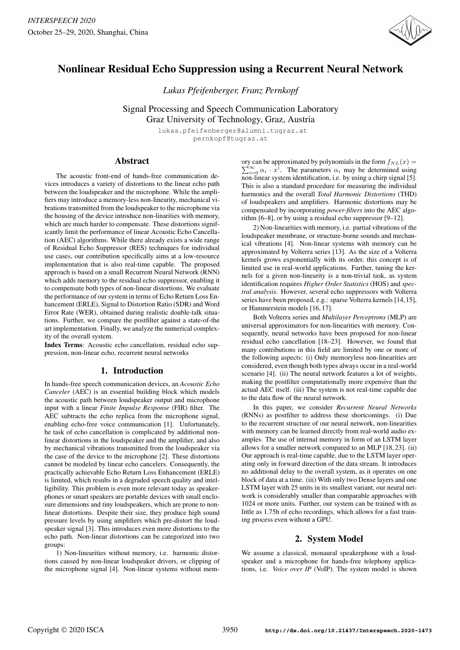

# Nonlinear Residual Echo Suppression using a Recurrent Neural Network

*Lukas Pfeifenberger, Franz Pernkopf*

Signal Processing and Speech Communication Laboratory

Graz University of Technology, Graz, Austria lukas.pfeifenberger@alumni.tugraz.at

pernkopf@tugraz.at

## Abstract

The acoustic front-end of hands-free communication devices introduces a variety of distortions to the linear echo path between the loudspeaker and the microphone. While the amplifiers may introduce a memory-less non-linearity, mechanical vibrations transmitted from the loudspeaker to the microphone via the housing of the device introduce non-linarities with memory, which are much harder to compensate. These distortions significantly limit the performance of linear Acoustic Echo Cancellation (AEC) algorithms. While there already exists a wide range of Residual Echo Suppressor (RES) techniques for individual use cases, our contribution specifically aims at a low-resource implementation that is also real-time capable. The proposed approach is based on a small Recurrent Neural Network (RNN) which adds memory to the residual echo suppressor, enabling it to compensate both types of non-linear distortions. We evaluate the performance of our system in terms of Echo Return Loss Enhancement (ERLE), Signal to Distortion Ratio (SDR) and Word Error Rate (WER), obtained during realistic double-talk situations. Further, we compare the postfilter against a state-of-the art implementation. Finally, we analyze the numerical complexity of the overall system.

Index Terms: Acoustic echo cancellation, residual echo suppression, non-linear echo, recurrent neural networks

## 1. Introduction

In hands-free speech communication devices, an *Acoustic Echo Canceler* (AEC) is an essential building block which models the acoustic path between loudspeaker output and microphone input with a linear *Finite Impulse Response* (FIR) filter. The AEC subtracts the echo replica from the microphone signal, enabling echo-free voice communication [1]. Unfortunately, he task of echo cancellation is complicated by additional nonlinear distortions in the loudspeaker and the amplifier, and also by mechanical vibrations transmitted from the loudspeaker via the case of the device to the microphone [2]. These distortions cannot be modeled by linear echo cancelers. Consequently, the practically achievable Echo Return Loss Enhancement (ERLE) is limited, which results in a degraded speech quality and intelligibility. This problem is even more relevant today as speakerphones or smart speakers are portable devices with small enclosure dimensions and tiny loudspeakers, which are prone to nonlinear distortions. Despite their size, they produce high sound pressure levels by using amplifiers which pre-distort the loudspeaker signal [3]. This introduces even more distortions to the echo path. Non-linear distortions can be categorized into two groups:

1) Non-linearities without memory, i.e. harmonic distortions caused by non-linear loudspeaker drivers, or clipping of the microphone signal [4]. Non-linear systems without mem-

ory can be approximated by polynomials in the form  $f_{NL}(x) =$  $\sum_{i=0}^{\infty} \alpha_i \cdot x^i$ . The parameters  $\alpha_i$  may be determined using non-linear system identification, i.e. by using a chirp signal [5]. This is also a standard procedure for measuring the individual harmonics and the overall *Total Harmonic Distortions* (THD) of loudspeakers and amplifiers. Harmonic distortions may be compensated by incorporating *power-filters* into the AEC algorithm [6–8], or by using a residual echo suppressor [9–12].

2) Non-linearities with memory, i.e. partial vibrations of the loudspeaker membrane, or structure-borne sounds and mechanical vibrations [4]. Non-linear systems with memory can be approximated by Volterra series [13]. As the size of a Volterra kernels grows exponentially with its order, this concept is of limited use in real-world applications. Further, tuning the kernels for a given non-linearity is a non-trivial task, as system identification requires *Higher Order Statistics* (HOS) and *spectral analysis*. However, several echo suppressors with Volterra series have been proposed, e.g.: sparse Volterra kernels [14,15], or Hammerstein models [16, 17].

Both Volterra series and *Multilayer Perceptrons* (MLP) are universal approximators for non-linearities with memory. Consequently, neural networks have been proposed for non-linear residual echo cancellation [18–23]. However, we found that many contributions in this field are limited by one or more of the following aspects: (i) Only memoryless non-linearities are considered, even though both types always occur in a real-world scenario [4]. (ii) The neural network features a lot of weights, making the postfilter computationally more expensive than the actual AEC itself. (iii) The system is not real-time capable due to the data flow of the neural network.

In this paper, we consider *Recurrent Neural Networks* (RNNs) as postfilter to address these shortcomings. (i) Due to the recurrent structure of our neural network, non-linearities with memory can be learned directly from real-world audio examples. The use of internal memory in form of an LSTM layer allows for a smaller network compared to an MLP [18, 23]. (ii) Our approach is real-time capable, due to the LSTM layer operating only in forward direction of the data stream. It introduces no additional delay to the overall system, as it operates on one block of data at a time. (iii) With only two Dense layers and one LSTM layer with 25 units in its smallest variant, our neural network is considerably smaller than comparable approaches with 1024 or more units. Further, our system can be trained with as little as 1.75h of echo recordings, which allows for a fast training process even without a GPU.

## 2. System Model

We assume a classical, monaural speakerphone with a loudspeaker and a microphone for hands-free telephony applications, i.e. *Voice over IP* (VoIP). The system model is shown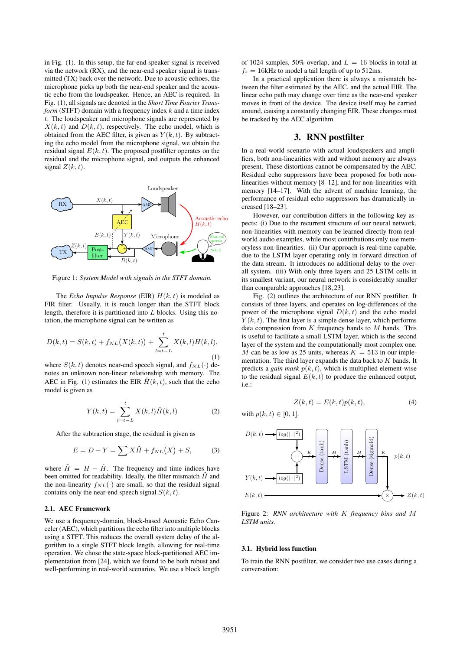in Fig. (1). In this setup, the far-end speaker signal is received via the network (RX), and the near-end speaker signal is transmitted (TX) back over the network. Due to acoustic echoes, the microphone picks up both the near-end speaker and the acoustic echo from the loudspeaker. Hence, an AEC is required. In Fig. (1), all signals are denoted in the *Short Time Fourier Transform* (STFT) domain with a frequency index  $k$  and a time index t. The loudspeaker and microphone signals are represented by  $X(k, t)$  and  $D(k, t)$ , respectively. The echo model, which is obtained from the AEC filter, is given as  $Y(k, t)$ . By subtracting the echo model from the microphone signal, we obtain the residual signal  $E(k, t)$ . The proposed postfilter operates on the residual and the microphone signal, and outputs the enhanced signal  $Z(k, t)$ .



Figure 1: *System Model with signals in the STFT domain.*

The *Echo Impulse Response* (EIR)  $H(k, t)$  is modeled as FIR filter. Usually, it is much longer than the STFT block length, therefore it is partitioned into  $L$  blocks. Using this notation, the microphone signal can be written as

$$
D(k,t) = S(k,t) + f_{NL}(X(k,t)) + \sum_{l=t-L}^{t} X(k,l)H(k,l),
$$
\n(1)

where  $S(k, t)$  denotes near-end speech signal, and  $f_{NL}(\cdot)$  denotes an unknown non-linear relationship with memory. The AEC in Fig. (1) estimates the EIR  $\hat{H}(k, t)$ , such that the echo model is given as

$$
Y(k,t) = \sum_{l=t-L}^{t} X(k,l)\hat{H}(k,l)
$$
 (2)

After the subtraction stage, the residual is given as

$$
E = D - Y = \sum X \tilde{H} + f_{NL}(X) + S,
$$
 (3)

where  $\tilde{H} = H - \hat{H}$ . The frequency and time indices have been omitted for readability. Ideally, the filter mismatch  $\tilde{H}$  and the non-linearity  $f_{NL}(\cdot)$  are small, so that the residual signal contains only the near-end speech signal  $S(k, t)$ .

#### 2.1. AEC Framework

We use a frequency-domain, block-based Acoustic Echo Canceler (AEC), which partitions the echo filter into multiple blocks using a STFT. This reduces the overall system delay of the algorithm to a single STFT block length, allowing for real-time operation. We chose the state-space block-partitioned AEC implementation from [24], which we found to be both robust and well-performing in real-world scenarios. We use a block length of 1024 samples, 50% overlap, and  $L = 16$  blocks in total at  $f_s = 16$ kHz to model a tail length of up to 512ms.

In a practical application there is always a mismatch between the filter estimated by the AEC, and the actual EIR. The linear echo path may change over time as the near-end speaker moves in front of the device. The device itself may be carried around, causing a constantly changing EIR. These changes must be tracked by the AEC algorithm.

## 3. RNN postfilter

In a real-world scenario with actual loudspeakers and amplifiers, both non-linearities with and without memory are always present. These distortions cannot be compensated by the AEC. Residual echo suppressors have been proposed for both nonlinearities without memory [8–12], and for non-linearities with memory [14–17]. With the advent of machine learning, the performance of residual echo suppressors has dramatically increased [18–23].

However, our contribution differs in the following key aspects: (i) Due to the recurrent structure of our neural network, non-linearities with memory can be learned directly from realworld audio examples, while most contributions only use memoryless non-linearities. (ii) Our approach is real-time capable, due to the LSTM layer operating only in forward direction of the data stream. It introduces no additional delay to the overall system. (iii) With only three layers and 25 LSTM cells in its smallest variant, our neural network is considerably smaller than comparable approaches [18, 23].

Fig. (2) outlines the architecture of our RNN postfilter. It consists of three layers, and operates on log-differences of the power of the microphone signal  $D(k, t)$  and the echo model  $Y(k, t)$ . The first layer is a simple dense layer, which performs data compression from  $K$  frequency bands to  $M$  bands. This is useful to facilitate a small LSTM layer, which is the second layer of the system and the computationally most complex one. M can be as low as 25 units, whereas  $K = 513$  in our implementation. The third layer expands the data back to  $K$  bands. It predicts a *gain mask*  $p(k, t)$ , which is multiplied element-wise to the residual signal  $E(k, t)$  to produce the enhanced output, i.e.:

$$
Z(k,t) = E(k,t)p(k,t),
$$
\n(4)

with  $p(k, t) \in [0, 1]$ .



Figure 2: *RNN architecture with* K *frequency bins and* M *LSTM units.*

#### 3.1. Hybrid loss function

To train the RNN postfilter, we consider two use cases during a conversation: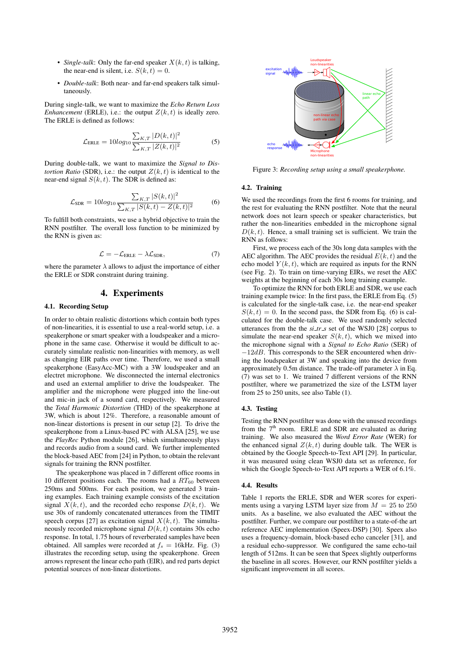- *Single-talk*: Only the far-end speaker  $X(k, t)$  is talking, the near-end is silent, i.e.  $S(k, t) = 0$ .
- *Double-talk*: Both near- and far-end speakers talk simultaneously.

During single-talk, we want to maximize the *Echo Return Loss Enhancement* (ERLE), i.e.: the output  $Z(k, t)$  is ideally zero. The ERLE is defined as follows:

$$
\mathcal{L}_{\text{ERLE}} = 10\log_{10} \frac{\sum_{K,T} |D(k,t)|^2}{\sum_{K,T} |Z(k,t)|^2}
$$
(5)

During double-talk, we want to maximize the *Signal to Distortion Ratio* (SDR), i.e.: the output  $Z(k, t)$  is identical to the near-end signal  $S(k, t)$ . The SDR is defined as:

$$
\mathcal{L}_{\text{SDR}} = 10\log_{10} \frac{\sum_{K,T} |S(k,t)|^2}{\sum_{K,T} |S(k,t) - Z(k,t)|^2}
$$
(6)

To fulfill both constraints, we use a hybrid objective to train the RNN postfilter. The overall loss function to be minimized by the RNN is given as:

$$
\mathcal{L} = -\mathcal{L}_{\text{ERLE}} - \lambda \mathcal{L}_{\text{SDR}},\tag{7}
$$

where the parameter  $\lambda$  allows to adjust the importance of either the ERLE or SDR constraint during training.

## 4. Experiments

#### 4.1. Recording Setup

In order to obtain realistic distortions which contain both types of non-linearities, it is essential to use a real-world setup, i.e. a speakerphone or smart speaker with a loudspeaker and a microphone in the same case. Otherwise it would be difficult to accurately simulate realistic non-linearities with memory, as well as changing EIR paths over time. Therefore, we used a small speakerphone (EasyAcc-MC) with a 3W loudspeaker and an electret microphone. We disconnected the internal electronics and used an external amplifier to drive the loudspeaker. The amplifier and the microphone were plugged into the line-out and mic-in jack of a sound card, respectively. We measured the *Total Harmonic Distortion* (THD) of the speakerphone at 3W, which is about 12%. Therefore, a reasonable amount of non-linear distortions is present in our setup [2]. To drive the speakerphone from a Linux-based PC with ALSA [25], we use the *PlayRec* Python module [26], which simultaneously plays and records audio from a sound card. We further implemented the block-based AEC from [24] in Python, to obtain the relevant signals for training the RNN postfilter.

The speakerphone was placed in 7 different office rooms in 10 different positions each. The rooms had a  $RT_{60}$  between 250ms and 500ms. For each position, we generated 3 training examples. Each training example consists of the excitation signal  $X(k, t)$ , and the recorded echo response  $D(k, t)$ . We use 30s of randomly concatenated utterances from the TIMIT speech corpus [27] as excitation signal  $X(k, t)$ . The simultaneously recorded microphone signal  $D(k, t)$  contains 30s echo response. In total, 1.75 hours of reverberated samples have been obtained. All samples were recorded at  $f_s = 16kHz$ . Fig. (3) illustrates the recording setup, using the speakerphone. Green arrows represent the linear echo path (EIR), and red parts depict potential sources of non-linear distortions.



Figure 3: *Recording setup using a small speakerphone.*

#### 4.2. Training

We used the recordings from the first 6 rooms for training, and the rest for evaluating the RNN postfilter. Note that the neural network does not learn speech or speaker characteristics, but rather the non-linearities embedded in the microphone signal  $D(k, t)$ . Hence, a small training set is sufficient. We train the RNN as follows:

First, we process each of the 30s long data samples with the AEC algorithm. The AEC provides the residual  $E(k, t)$  and the echo model  $Y(k, t)$ , which are required as inputs for the RNN (see Fig. 2). To train on time-varying EIRs, we reset the AEC weights at the beginning of each 30s long training example.

To optimize the RNN for both ERLE and SDR, we use each training example twice: In the first pass, the ERLE from Eq. (5) is calculated for the single-talk case, i.e. the near-end speaker  $S(k, t) = 0$ . In the second pass, the SDR from Eq. (6) is calculated for the double-talk case. We used randomly selected utterances from the the  $si$ *tr*<sub>*s*</sub> set of the WSJ0 [28] corpus to simulate the near-end speaker  $S(k, t)$ , which we mixed into the microphone signal with a *Signal to Echo Ratio* (SER) of  $-12dB$ . This corresponds to the SER encountered when driving the loudspeaker at 3W and speaking into the device from approximately 0.5m distance. The trade-off parameter  $\lambda$  in Eq. (7) was set to 1. We trained 7 different versions of the RNN postfilter, where we parametrized the size of the LSTM layer from 25 to 250 units, see also Table (1).

#### 4.3. Testing

Testing the RNN postfilter was done with the unused recordings from the  $7<sup>th</sup>$  room. ERLE and SDR are evaluated as during training. We also measured the *Word Error Rate* (WER) for the enhanced signal  $Z(k, t)$  during double talk. The WER is obtained by the Google Speech-to-Text API [29]. In particular, it was measured using clean WSJ0 data set as reference, for which the Google Speech-to-Text API reports a WER of 6.1%.

### 4.4. Results

Table 1 reports the ERLE, SDR and WER scores for experiments using a varying LSTM layer size from  $M = 25$  to 250 units. As a baseline, we also evaluated the AEC without the postfilter. Further, we compare our postfilter to a state-of-the art reference AEC implementation (Speex-DSP) [30]. Speex also uses a frequency-domain, block-based echo canceler [31], and a residual echo-suppressor. We configured the same echo-tail length of 512ms. It can be seen that Speex slightly outperforms the baseline in all scores. However, our RNN postfilter yields a significant improvement in all scores.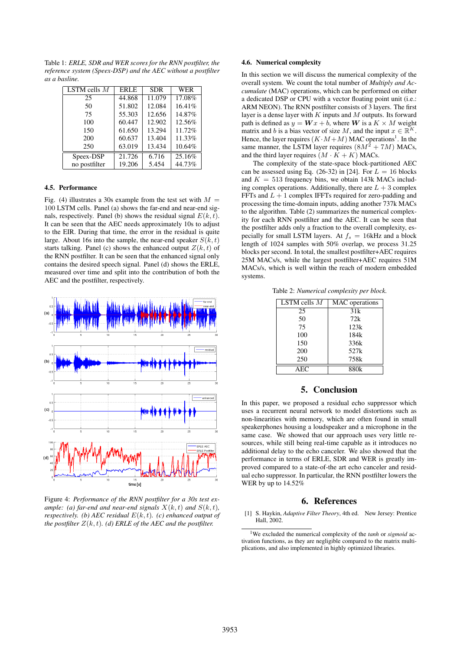Table 1: *ERLE, SDR and WER scores for the RNN postfilter, the reference system (Speex-DSP) and the AEC without a postfilter as a basline.*

| LSTM cells $M$ | <b>ERLE</b> | <b>SDR</b> | <b>WER</b> |
|----------------|-------------|------------|------------|
| 25             | 44.868      | 11.079     | 17.08%     |
| 50             | 51.802      | 12.084     | 16.41%     |
| 75             | 55.303      | 12.656     | 14.87%     |
| 100            | 60.447      | 12.902     | 12.56%     |
| 150            | 61.650      | 13.294     | 11.72%     |
| 200            | 60.637      | 13.404     | 11.33%     |
| 250            | 63.019      | 13.434     | 10.64%     |
| Speex-DSP      | 21.726      | 6.716      | 25.16%     |
| no postfilter  | 19.206      | 5.454      | 44.73%     |

#### 4.5. Performance

Fig. (4) illustrates a 30s example from the test set with  $M =$ 100 LSTM cells. Panel (a) shows the far-end and near-end signals, respectively. Panel (b) shows the residual signal  $E(k, t)$ . It can be seen that the AEC needs approximately 10s to adjust to the EIR. During that time, the error in the residual is quite large. About 16s into the sample, the near-end speaker  $S(k, t)$ starts talking. Panel (c) shows the enhanced output  $Z(k, t)$  of the RNN postfilter. It can be seen that the enhanced signal only contains the desired speech signal. Panel (d) shows the ERLE, measured over time and split into the contribution of both the AEC and the postfilter, respectively.



Figure 4: *Performance of the RNN postfilter for a 30s test example:* (a) far-end and near-end signals  $X(k, t)$  and  $S(k, t)$ , *respectively.* (b) AEC residual  $E(k, t)$ . (c) enhanced output of *the postfilter*  $Z(k, t)$ *. (d)* ERLE of the AEC and the postfilter.

### 4.6. Numerical complexity

In this section we will discuss the numerical complexity of the overall system. We count the total number of *Multiply and Accumulate* (MAC) operations, which can be performed on either a dedicated DSP or CPU with a vector floating point unit (i.e.: ARM NEON). The RNN postfilter consists of 3 layers. The first layer is a dense layer with  $K$  inputs and  $M$  outputs. Its forward path is defined as  $y = \mathbf{W}x + b$ , where  $\mathbf{W}$  is a  $K \times M$  weight matrix and b is a bias vector of size M, and the input  $x \in \mathbb{R}^K$ . Hence, the layer requires  $(K \cdot M + M)$  MAC operations<sup>1</sup>. In the same manner, the LSTM layer requires  $(8M^2 + 7M)$  MACs, and the third layer requires  $(M \cdot K + K)$  MACs.

The complexity of the state-space block-partitioned AEC can be assessed using Eq. (26-32) in [24]. For  $L = 16$  blocks and  $K = 513$  frequency bins, we obtain 143k MACs including complex operations. Additionally, there are  $L + 3$  complex FFTs and  $L + 1$  complex IFFTs required for zero-padding and processing the time-domain inputs, adding another 737k MACs to the algorithm. Table (2) summarizes the numerical complexity for each RNN postfilter and the AEC. It can be seen that the postfilter adds only a fraction to the overall complexity, especially for small LSTM layers. At  $f_s = 16kHz$  and a block length of 1024 samples with 50% overlap, we process 31.25 blocks per second. In total, the smallest postfilter+AEC requires 25M MACs/s, while the largest postfilter+AEC requires 51M MACs/s, which is well within the reach of modern embedded systems.

Table 2: *Numerical complexity per block.*

| LSTM cells $M$ | MAC operations |  |
|----------------|----------------|--|
| 25             | 31k            |  |
| 50             | 72k            |  |
| 75             | 123k           |  |
| 100            | 184k           |  |
| 150            | 336k           |  |
| 200            | 527k           |  |
| 250            | 758k           |  |
| AEC            | 880k           |  |

## 5. Conclusion

In this paper, we proposed a residual echo suppressor which uses a recurrent neural network to model distortions such as non-linearities with memory, which are often found in small speakerphones housing a loudspeaker and a microphone in the same case. We showed that our approach uses very little resources, while still being real-time capable as it introduces no additional delay to the echo canceler. We also showed that the performance in terms of ERLE, SDR and WER is greatly improved compared to a state-of-the art echo canceler and residual echo suppressor. In particular, the RNN postfilter lowers the WER by up to 14.52%

## 6. References

[1] S. Haykin, *Adaptive Filter Theory*, 4th ed. New Jersey: Prentice Hall, 2002.

<sup>1</sup>We excluded the numerical complexity of the *tanh* or *sigmoid* activation functions, as they are negligible compared to the matrix multiplications, and also implemented in highly optimized libraries.